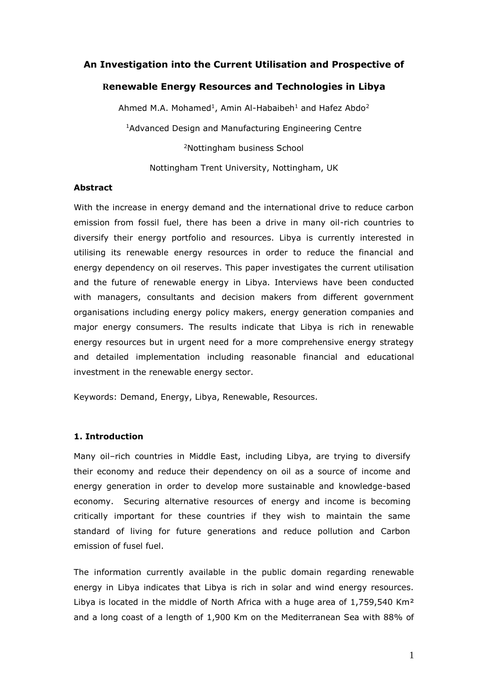# **An Investigation into the Current Utilisation and Prospective of**

# **Renewable Energy Resources and Technologies in Libya**

Ahmed M.A. Mohamed<sup>1</sup>, Amin Al-Habaibeh<sup>1</sup> and Hafez Abdo<sup>2</sup> <sup>1</sup>Advanced Design and Manufacturing Engineering Centre <sup>2</sup>Nottingham business School Nottingham Trent University, Nottingham, UK

### **Abstract**

With the increase in energy demand and the international drive to reduce carbon emission from fossil fuel, there has been a drive in many oil-rich countries to diversify their energy portfolio and resources. Libya is currently interested in utilising its renewable energy resources in order to reduce the financial and energy dependency on oil reserves. This paper investigates the current utilisation and the future of renewable energy in Libya. Interviews have been conducted with managers, consultants and decision makers from different government organisations including energy policy makers, energy generation companies and major energy consumers. The results indicate that Libya is rich in renewable energy resources but in urgent need for a more comprehensive energy strategy and detailed implementation including reasonable financial and educational investment in the renewable energy sector.

Keywords: Demand, Energy, Libya, Renewable, Resources.

### **1. Introduction**

Many oil–rich countries in Middle East, including Libya, are trying to diversify their economy and reduce their dependency on oil as a source of income and energy generation in order to develop more sustainable and knowledge-based economy. Securing alternative resources of energy and income is becoming critically important for these countries if they wish to maintain the same standard of living for future generations and reduce pollution and Carbon emission of fusel fuel.

The information currently available in the public domain regarding renewable energy in Libya indicates that Libya is rich in solar and wind energy resources. Libya is located in the middle of North Africa with a huge area of  $1,759,540$  Km<sup>2</sup> and a long coast of a length of 1,900 Km on the Mediterranean Sea with 88% of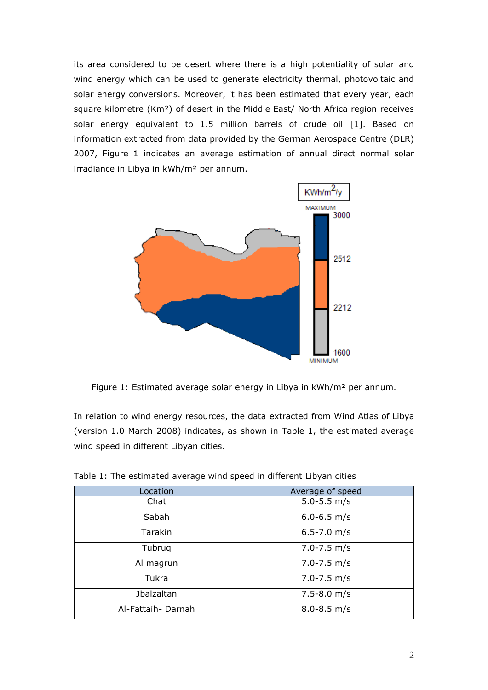its area considered to be desert where there is a high potentiality of solar and wind energy which can be used to generate electricity thermal, photovoltaic and solar energy conversions. Moreover, it has been estimated that every year, each square kilometre (Km<sup>2</sup>) of desert in the Middle East/ North Africa region receives solar energy equivalent to 1.5 million barrels of crude oil [1]. Based on information extracted from data provided by the German Aerospace Centre (DLR) 2007, Figure 1 indicates an average estimation of annual direct normal solar irradiance in Libya in kWh/m² per annum.



Figure 1: Estimated average solar energy in Libya in kWh/m² per annum.

In relation to wind energy resources, the data extracted from Wind Atlas of Libya (version 1.0 March 2008) indicates, as shown in Table 1, the estimated average wind speed in different Libyan cities.

| Location          | Average of speed |
|-------------------|------------------|
| Chat              | $5.0 - 5.5$ m/s  |
| Sabah             | $6.0 - 6.5$ m/s  |
| <b>Tarakin</b>    | $6.5 - 7.0$ m/s  |
| Tubruq            | $7.0 - 7.5$ m/s  |
| Al magrun         | $7.0 - 7.5$ m/s  |
| Tukra             | $7.0 - 7.5$ m/s  |
| Jbalzaltan        | $7.5 - 8.0$ m/s  |
| Al-Fattaih-Darnah | $8.0 - 8.5$ m/s  |

Table 1: The estimated average wind speed in different Libyan cities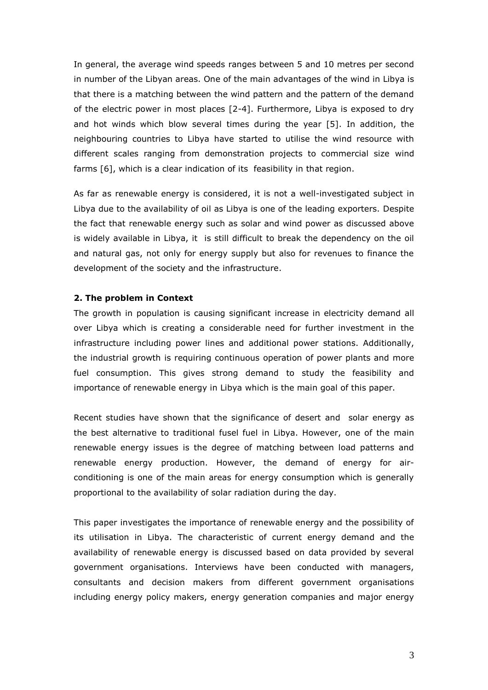In general, the average wind speeds ranges between 5 and 10 metres per second in number of the Libyan areas. One of the main advantages of the wind in Libya is that there is a matching between the wind pattern and the pattern of the demand of the electric power in most places [2-4]. Furthermore, Libya is exposed to dry and hot winds which blow several times during the year [5]. In addition, the neighbouring countries to Libya have started to utilise the wind resource with different scales ranging from demonstration projects to commercial size wind farms [6], which is a clear indication of its feasibility in that region.

As far as renewable energy is considered, it is not a well-investigated subject in Libya due to the availability of oil as Libya is one of the leading exporters. Despite the fact that renewable energy such as solar and wind power as discussed above is widely available in Libya, it is still difficult to break the dependency on the oil and natural gas, not only for energy supply but also for revenues to finance the development of the society and the infrastructure.

#### **2. The problem in Context**

The growth in population is causing significant increase in electricity demand all over Libya which is creating a considerable need for further investment in the infrastructure including power lines and additional power stations. Additionally, the industrial growth is requiring continuous operation of power plants and more fuel consumption. This gives strong demand to study the feasibility and importance of renewable energy in Libya which is the main goal of this paper.

Recent studies have shown that the significance of desert and solar energy as the best alternative to traditional fusel fuel in Libya. However, one of the main renewable energy issues is the degree of matching between load patterns and renewable energy production. However, the demand of energy for airconditioning is one of the main areas for energy consumption which is generally proportional to the availability of solar radiation during the day.

This paper investigates the importance of renewable energy and the possibility of its utilisation in Libya. The characteristic of current energy demand and the availability of renewable energy is discussed based on data provided by several government organisations. Interviews have been conducted with managers, consultants and decision makers from different government organisations including energy policy makers, energy generation companies and major energy

3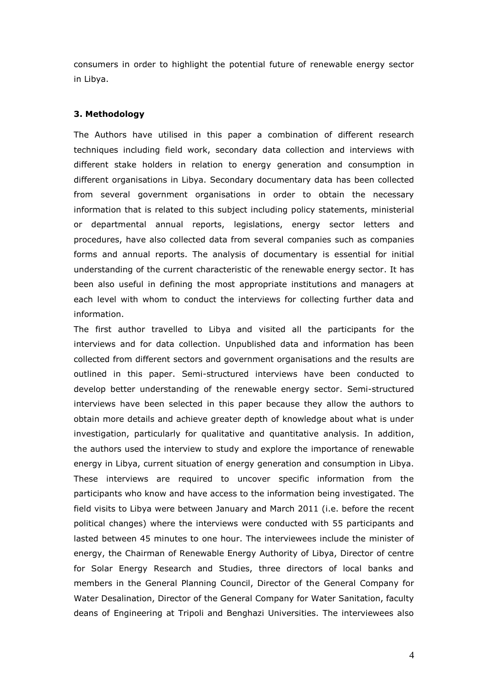consumers in order to highlight the potential future of renewable energy sector in Libya.

# **3. Methodology**

The Authors have utilised in this paper a combination of different research techniques including field work, secondary data collection and interviews with different stake holders in relation to energy generation and consumption in different organisations in Libya. Secondary documentary data has been collected from several government organisations in order to obtain the necessary information that is related to this subject including policy statements, ministerial or departmental annual reports, legislations, energy sector letters and procedures, have also collected data from several companies such as companies forms and annual reports. The analysis of documentary is essential for initial understanding of the current characteristic of the renewable energy sector. It has been also useful in defining the most appropriate institutions and managers at each level with whom to conduct the interviews for collecting further data and information.

The first author travelled to Libya and visited all the participants for the interviews and for data collection. Unpublished data and information has been collected from different sectors and government organisations and the results are outlined in this paper. Semi-structured interviews have been conducted to develop better understanding of the renewable energy sector. Semi-structured interviews have been selected in this paper because they allow the authors to obtain more details and achieve greater depth of knowledge about what is under investigation, particularly for qualitative and quantitative analysis. In addition, the authors used the interview to study and explore the importance of renewable energy in Libya, current situation of energy generation and consumption in Libya. These interviews are required to uncover specific information from the participants who know and have access to the information being investigated. The field visits to Libya were between January and March 2011 (i.e. before the recent political changes) where the interviews were conducted with 55 participants and lasted between 45 minutes to one hour. The interviewees include the minister of energy, the Chairman of Renewable Energy Authority of Libya, Director of centre for Solar Energy Research and Studies, three directors of local banks and members in the General Planning Council, Director of the General Company for Water Desalination, Director of the General Company for Water Sanitation, faculty deans of Engineering at Tripoli and Benghazi Universities. The interviewees also

4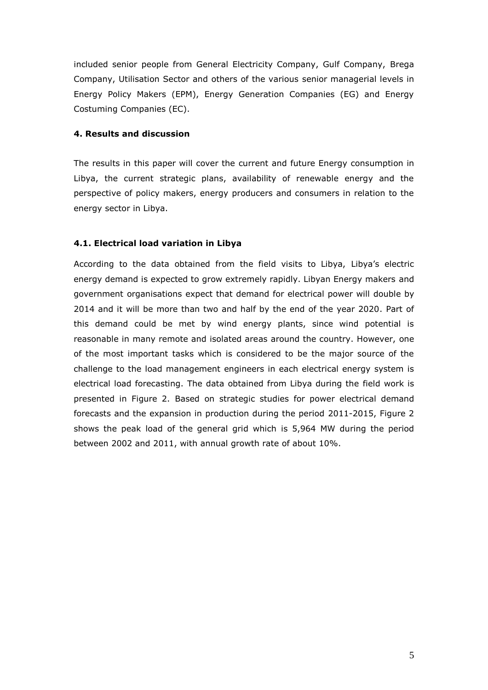included senior people from General Electricity Company, Gulf Company, Brega Company, Utilisation Sector and others of the various senior managerial levels in Energy Policy Makers (EPM), Energy Generation Companies (EG) and Energy Costuming Companies (EC).

# **4. Results and discussion**

The results in this paper will cover the current and future Energy consumption in Libya, the current strategic plans, availability of renewable energy and the perspective of policy makers, energy producers and consumers in relation to the energy sector in Libya.

# **4.1. Electrical load variation in Libya**

According to the data obtained from the field visits to Libya, Libya's electric energy demand is expected to grow extremely rapidly. Libyan Energy makers and government organisations expect that demand for electrical power will double by 2014 and it will be more than two and half by the end of the year 2020. Part of this demand could be met by wind energy plants, since wind potential is reasonable in many remote and isolated areas around the country. However, one of the most important tasks which is considered to be the major source of the challenge to the load management engineers in each electrical energy system is electrical load forecasting. The data obtained from Libya during the field work is presented in Figure 2. Based on strategic studies for power electrical demand forecasts and the expansion in production during the period 2011-2015, Figure 2 shows the peak load of the general grid which is 5,964 MW during the period between 2002 and 2011, with annual growth rate of about 10%.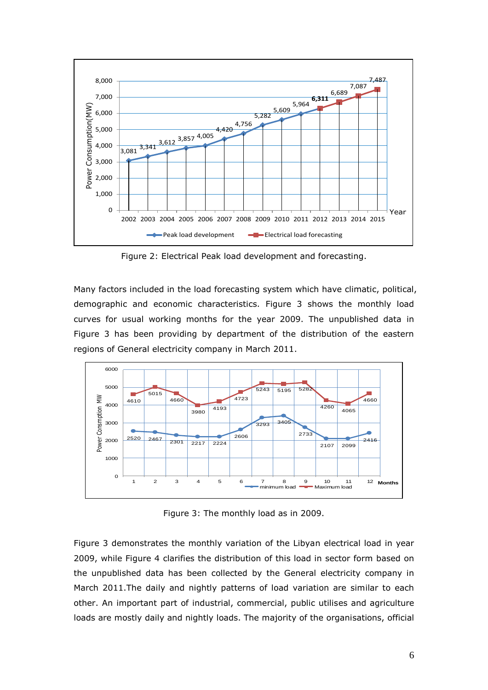

Figure 2: Electrical Peak load development and forecasting.

Many factors included in the load forecasting system which have climatic, political, demographic and economic characteristics. Figure 3 shows the monthly load curves for usual working months for the year 2009. The unpublished data in Figure 3 has been providing by department of the distribution of the eastern regions of General electricity company in March 2011.



Figure 3: The monthly load as in 2009.

Figure 3 demonstrates the monthly variation of the Libyan electrical load in year 2009, while Figure 4 clarifies the distribution of this load in sector form based on the unpublished data has been collected by the General electricity company in March 2011.The daily and nightly patterns of load variation are similar to each other. An important part of industrial, commercial, public utilises and agriculture loads are mostly daily and nightly loads. The majority of the organisations, official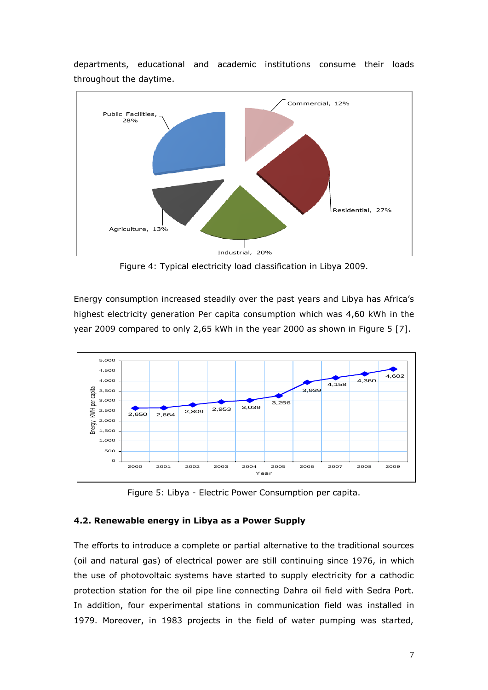

departments, educational and academic institutions consume their loads throughout the daytime.

Figure 4: Typical electricity load classification in Libya 2009.

Energy consumption increased steadily over the past years and Libya has Africa's highest electricity generation Per capita consumption which was 4,60 kWh in the year 2009 compared to only 2,65 kWh in the year 2000 as shown in Figure 5 [7].



Figure 5: Libya - Electric Power Consumption per capita.

### **4.2. Renewable energy in Libya as a Power Supply**

The efforts to introduce a complete or partial alternative to the traditional sources (oil and natural gas) of electrical power are still continuing since 1976, in which the use of photovoltaic systems have started to supply electricity for a cathodic protection station for the oil pipe line connecting Dahra oil field with Sedra Port. In addition, four experimental stations in communication field was installed in 1979. Moreover, in 1983 projects in the field of water pumping was started,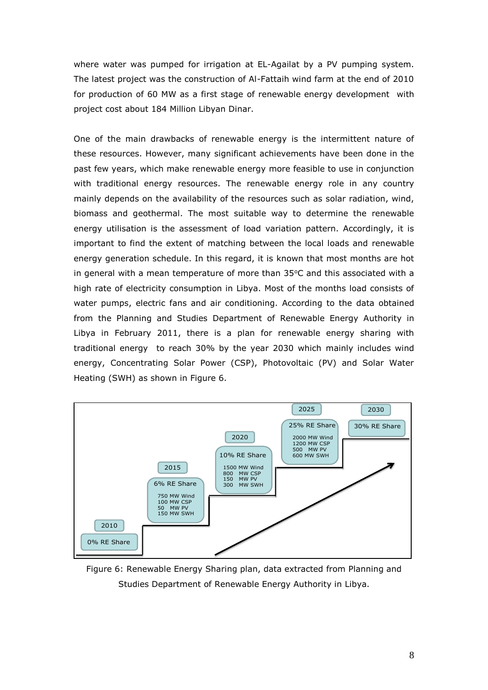where water was pumped for irrigation at EL-Agailat by a PV pumping system. The latest project was the construction of Al-Fattaih wind farm at the end of 2010 for production of 60 MW as a first stage of renewable energy development with project cost about 184 Million Libyan Dinar.

One of the main drawbacks of renewable energy is the intermittent nature of these resources. However, many significant achievements have been done in the past few years, which make renewable energy more feasible to use in conjunction with traditional energy resources. The renewable energy role in any country mainly depends on the availability of the resources such as solar radiation, wind, biomass and geothermal. The most suitable way to determine the renewable energy utilisation is the assessment of load variation pattern. Accordingly, it is important to find the extent of matching between the local loads and renewable energy generation schedule. In this regard, it is known that most months are hot in general with a mean temperature of more than  $35^{\circ}$ C and this associated with a high rate of electricity consumption in Libya. Most of the months load consists of water pumps, electric fans and air conditioning. According to the data obtained from the Planning and Studies Department of Renewable Energy Authority in Libya in February 2011, there is a plan for renewable energy sharing with traditional energy to reach 30% by the year 2030 which mainly includes wind energy, Concentrating Solar Power (CSP), Photovoltaic (PV) and Solar Water Heating (SWH) as shown in Figure 6.



Figure 6: Renewable Energy Sharing plan, data extracted from Planning and Studies Department of Renewable Energy Authority in Libya.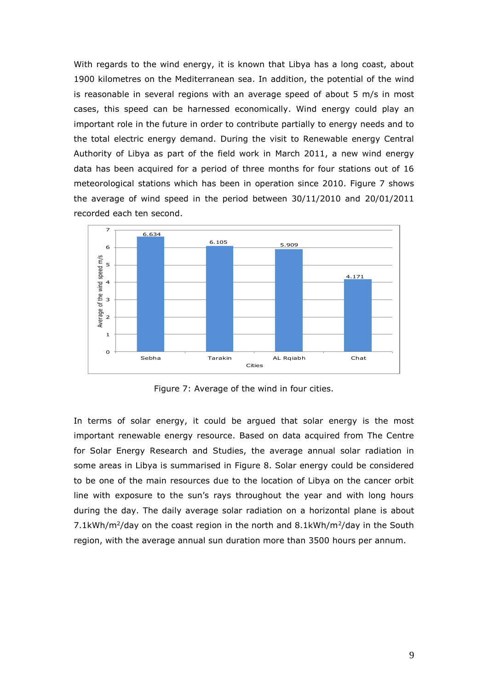With regards to the wind energy, it is known that Libya has a long coast, about 1900 kilometres on the Mediterranean sea. In addition, the potential of the wind is reasonable in several regions with an average speed of about 5 m/s in most cases, this speed can be harnessed economically. Wind energy could play an important role in the future in order to contribute partially to energy needs and to the total electric energy demand. During the visit to Renewable energy Central Authority of Libya as part of the field work in March 2011, a new wind energy data has been acquired for a period of three months for four stations out of 16 meteorological stations which has been in operation since 2010. Figure 7 shows the average of wind speed in the period between 30/11/2010 and 20/01/2011 recorded each ten second.



Figure 7: Average of the wind in four cities.

In terms of solar energy, it could be argued that solar energy is the most important renewable energy resource. Based on data acquired from The Centre for Solar Energy Research and Studies, the average annual solar radiation in some areas in Libya is summarised in Figure 8. Solar energy could be considered to be one of the main resources due to the location of Libya on the cancer orbit line with exposure to the sun's rays throughout the year and with long hours during the day. The daily average solar radiation on a horizontal plane is about 7.1kWh/m<sup>2</sup>/day on the coast region in the north and  $8.1$ kWh/m<sup>2</sup>/day in the South region, with the average annual sun duration more than 3500 hours per annum.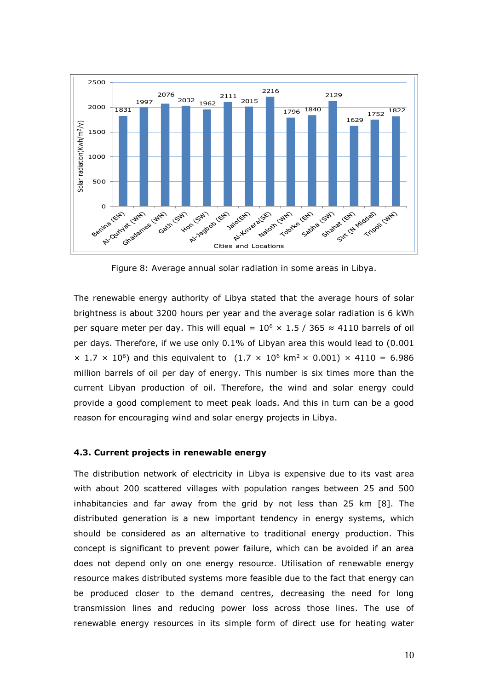

Figure 8: Average annual solar radiation in some areas in Libya.

The renewable energy authority of Libya stated that the average hours of solar brightness is about 3200 hours per year and the average solar radiation is 6 kWh per square meter per day. This will equal =  $10^6 \times 1.5 / 365 \approx 4110$  barrels of oil per days. Therefore, if we use only 0.1% of Libyan area this would lead to (0.001  $\times$  1.7  $\times$  10<sup>6</sup>) and this equivalent to (1.7  $\times$  10<sup>6</sup> km<sup>2</sup>  $\times$  0.001)  $\times$  4110 = 6.986 million barrels of oil per day of energy. This number is six times more than the current Libyan production of oil. Therefore, the wind and solar energy could provide a good complement to meet peak loads. And this in turn can be a good reason for encouraging wind and solar energy projects in Libya.

#### **4.3. Current projects in renewable energy**

The distribution network of electricity in Libya is expensive due to its vast area with about 200 scattered villages with population ranges between 25 and 500 inhabitancies and far away from the grid by not less than 25 km [8]. The distributed generation is a new important tendency in energy systems, which should be considered as an alternative to traditional energy production. This concept is significant to prevent power failure, which can be avoided if an area does not depend only on one energy resource. Utilisation of renewable energy resource makes distributed systems more feasible due to the fact that energy can be produced closer to the demand centres, decreasing the need for long transmission lines and reducing power loss across those lines. The use of renewable energy resources in its simple form of direct use for heating water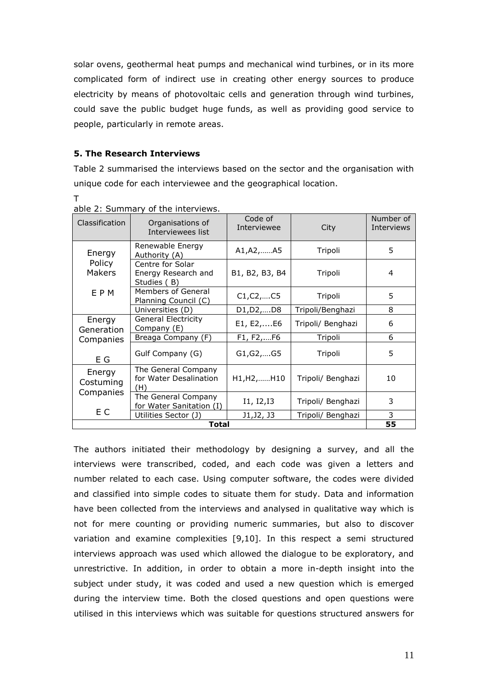solar ovens, geothermal heat pumps and mechanical wind turbines, or in its more complicated form of indirect use in creating other energy sources to produce electricity by means of photovoltaic cells and generation through wind turbines, could save the public budget huge funds, as well as providing good service to people, particularly in remote areas.

# **5. The Research Interviews**

 $T$ 

Table 2 summarised the interviews based on the sector and the organisation with unique code for each interviewee and the geographical location.

| Classification          | $\frac{1}{2}$ . Juinnary or the meerviews.<br>Organisations of<br>Interviewees list | Code of<br>Interviewee | City              | Number of<br><b>Interviews</b> |
|-------------------------|-------------------------------------------------------------------------------------|------------------------|-------------------|--------------------------------|
| Energy                  | Renewable Energy<br>Authority (A)                                                   | A1,A2,A5               | Tripoli           | 5                              |
| Policy<br><b>Makers</b> | Centre for Solar<br>Energy Research and<br>Studies (B)                              | B1, B2, B3, B4         | Tripoli           | $\overline{4}$                 |
| EPM                     | Members of General<br>Planning Council (C)                                          | C1, C2,  C5            | Tripoli           | 5                              |
|                         | Universities (D)                                                                    | D1, D2,  D8            | Tripoli/Benghazi  | 8                              |
| Energy<br>Generation    | <b>General Electricity</b><br>Company (E)                                           | $E1, E2,$ $E6$         | Tripoli/ Benghazi | 6                              |
| Companies               | Breaga Company (F)                                                                  | F1, F2, F6             | Tripoli           | 6                              |
| E G                     | Gulf Company (G)                                                                    | $G1, G2, \ldots G5$    | Tripoli           | 5                              |
| Energy<br>Costuming     | The General Company<br>for Water Desalination<br>(H)                                | H1,H2,H10              | Tripoli/ Benghazi | 10                             |
| Companies               | The General Company<br>for Water Sanitation (I)                                     | I1, I2,I3              | Tripoli/ Benghazi | 3                              |
| E C                     | Utilities Sector (J)                                                                | J1, J2, J3             | Tripoli/ Benghazi | 3                              |
| <b>Total</b>            |                                                                                     |                        |                   |                                |

able 2: Summary of the interviews.

The authors initiated their methodology by designing a survey, and all the interviews were transcribed, coded, and each code was given a letters and number related to each case. Using computer software, the codes were divided and classified into simple codes to situate them for study. Data and information have been collected from the interviews and analysed in qualitative way which is not for mere counting or providing numeric summaries, but also to discover variation and examine complexities [9,10]. In this respect a semi structured interviews approach was used which allowed the dialogue to be exploratory, and unrestrictive. In addition, in order to obtain a more in-depth insight into the subject under study, it was coded and used a new question which is emerged during the interview time. Both the closed questions and open questions were utilised in this interviews which was suitable for questions structured answers for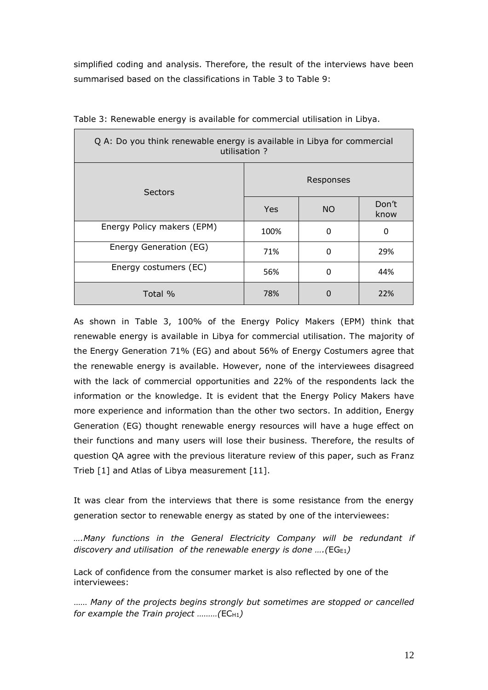simplified coding and analysis. Therefore, the result of the interviews have been summarised based on the classifications in Table 3 to Table 9:

| Q A: Do you think renewable energy is available in Libya for commercial<br>utilisation? |           |           |               |
|-----------------------------------------------------------------------------------------|-----------|-----------|---------------|
| Sectors                                                                                 | Responses |           |               |
|                                                                                         | Yes       | <b>NO</b> | Don't<br>know |
| Energy Policy makers (EPM)                                                              | 100%      | 0         | 0             |
| Energy Generation (EG)                                                                  | 71%       | 0         | 29%           |
| Energy costumers (EC)                                                                   | 56%       | 0         | 44%           |
| Total %                                                                                 | 78%       | 0         | 22%           |

Table 3: Renewable energy is available for commercial utilisation in Libya.

As shown in Table 3, 100% of the Energy Policy Makers (EPM) think that renewable energy is available in Libya for commercial utilisation. The majority of the Energy Generation 71% (EG) and about 56% of Energy Costumers agree that the renewable energy is available. However, none of the interviewees disagreed with the lack of commercial opportunities and 22% of the respondents lack the information or the knowledge. It is evident that the Energy Policy Makers have more experience and information than the other two sectors. In addition, Energy Generation (EG) thought renewable energy resources will have a huge effect on their functions and many users will lose their business. Therefore, the results of question QA agree with the previous literature review of this paper, such as Franz Trieb [1] and Atlas of Libya measurement [11].

It was clear from the interviews that there is some resistance from the energy generation sector to renewable energy as stated by one of the interviewees:

*….Many functions in the General Electricity Company will be redundant if discovery and utilisation of the renewable energy is done .... (EG<sub>E1</sub>)* 

Lack of confidence from the consumer market is also reflected by one of the interviewees:

…… *Many of the projects begins strongly but sometimes are stopped or cancelled for example the Train project .........*(EC<sub>H1</sub>)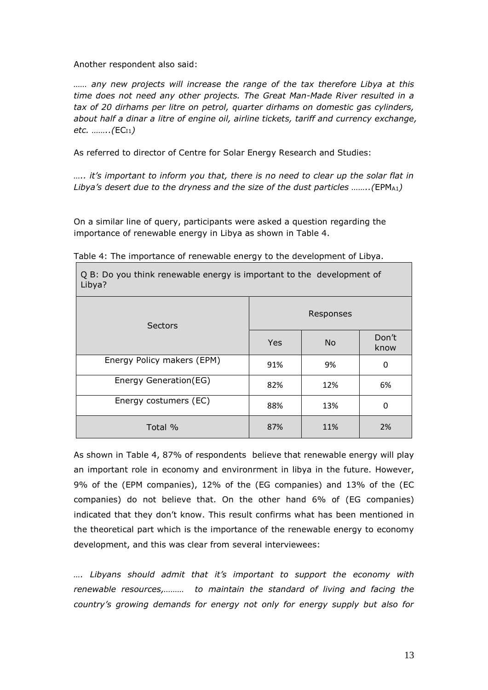Another respondent also said:

*…… any new projects will increase the range of the tax therefore Libya at this time does not need any other projects. The Great Man-Made River resulted in a tax of 20 dirhams per litre on petrol, quarter dirhams on domestic gas cylinders, about half a dinar a litre of engine oil, airline tickets, tariff and currency exchange, etc. ……..(*ECI1*)*

As referred to director of Centre for Solar Energy Research and Studies:

*….. it's important to inform you that, there is no need to clear up the solar flat in Libya's desert due to the dryness and the size of the dust particles ……..(*EPMA1*)*

On a similar line of query, participants were asked a question regarding the importance of renewable energy in Libya as shown in Table 4.

| Q B: Do you think renewable energy is important to the development of<br>Libya? |            |           |               |
|---------------------------------------------------------------------------------|------------|-----------|---------------|
| <b>Sectors</b>                                                                  | Responses  |           |               |
|                                                                                 | <b>Yes</b> | <b>No</b> | Don't<br>know |
| Energy Policy makers (EPM)                                                      | 91%        | 9%        | $\Omega$      |
| Energy Generation(EG)                                                           | 82%        | 12%       | 6%            |
| Energy costumers (EC)                                                           | 88%        | 13%       | $\Omega$      |
| Total %                                                                         | 87%        | 11%       | 2%            |

| Table 4: The importance of renewable energy to the development of Libya. |  |  |
|--------------------------------------------------------------------------|--|--|
|                                                                          |  |  |

As shown in Table 4, 87% of respondents believe that renewable energy will play an important role in economy and environrment in libya in the future. However, 9% of the (EPM companies), 12% of the (EG companies) and 13% of the (EC companies) do not believe that. On the other hand 6% of (EG companies) indicated that they don't know. This result confirms what has been mentioned in the theoretical part which is the importance of the renewable energy to economy development, and this was clear from several interviewees:

*…. Libyans should admit that it's important to support the economy with renewable resources,……… to maintain the standard of living and facing the country's growing demands for energy not only for energy supply but also for*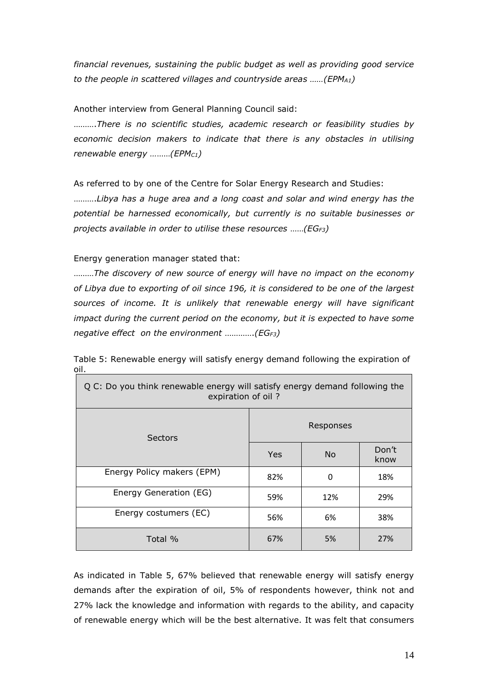*financial revenues, sustaining the public budget as well as providing good service to the people in scattered villages and countryside areas ……(EPMA1)*

Another interview from General Planning Council said:

……….*There is no scientific studies, academic research or feasibility studies by economic decision makers to indicate that there is any obstacles in utilising renewable energy …*……*(EPMC1)*

As referred to by one of the Centre for Solar Energy Research and Studies: ……….*Libya has a huge area and a long coast and solar and wind energy has the potential be harnessed economically, but currently is no suitable businesses or projects available in order to utilise these resources* ……*(EGF3)*

Energy generation manager stated that:

………*The discovery of new source of energy will have no impact on the economy of Libya due to exporting of oil since 196, it is considered to be one of the largest sources of income. It is unlikely that renewable energy will have significant impact during the current period on the economy, but it is expected to have some negative effect on the environment* ………….*(EGF3)*

| Q C: Do you think renewable energy will satisfy energy demand following the<br>expiration of oil? |           |     |               |
|---------------------------------------------------------------------------------------------------|-----------|-----|---------------|
| <b>Sectors</b>                                                                                    | Responses |     |               |
|                                                                                                   | Yes       | No  | Don't<br>know |
| Energy Policy makers (EPM)                                                                        | 82%       | 0   | 18%           |
| Energy Generation (EG)                                                                            | 59%       | 12% | 29%           |
| Energy costumers (EC)                                                                             | 56%       | 6%  | 38%           |
| Total %                                                                                           | 67%       | 5%  | 27%           |

Table 5: Renewable energy will satisfy energy demand following the expiration of oil.

As indicated in Table 5, 67% believed that renewable energy will satisfy energy demands after the expiration of oil, 5% of respondents however, think not and 27% lack the knowledge and information with regards to the ability, and capacity of renewable energy which will be the best alternative. It was felt that consumers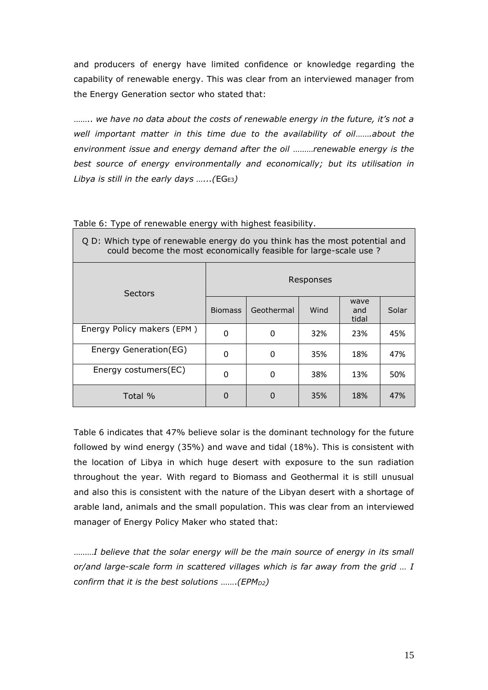and producers of energy have limited confidence or knowledge regarding the capability of renewable energy. This was clear from an interviewed manager from the Energy Generation sector who stated that:

…….. *we have no data about the costs of renewable energy in the future, it's not a well important matter in this time due to the availability of oil*……*.about the environment issue and energy demand after the oil* ………*renewable energy is the best source of energy environmentally and economically; but its utilisation in Libya is still in the early days …...(*EGE3*)*

Q D: Which type of renewable energy do you think has the most potential and could become the most economically feasible for large-scale use ?

| <b>Sectors</b>             | Responses      |            |      |                      |       |  |
|----------------------------|----------------|------------|------|----------------------|-------|--|
|                            | <b>Biomass</b> | Geothermal | Wind | wave<br>and<br>tidal | Solar |  |
| Energy Policy makers (EPM) | 0              | 0          | 32%  | 23%                  | 45%   |  |
| Energy Generation(EG)      | 0              | 0          | 35%  | 18%                  | 47%   |  |
| Energy costumers(EC)       | 0              | 0          | 38%  | 13%                  | 50%   |  |
| Total %                    | $\Omega$       | $\Omega$   | 35%  | 18%                  | 47%   |  |

Table 6: Type of renewable energy with highest feasibility.

Table 6 indicates that 47% believe solar is the dominant technology for the future followed by wind energy (35%) and wave and tidal (18%). This is consistent with the location of Libya in which huge desert with exposure to the sun radiation throughout the year. With regard to Biomass and Geothermal it is still unusual and also this is consistent with the nature of the Libyan desert with a shortage of arable land, animals and the small population. This was clear from an interviewed manager of Energy Policy Maker who stated that:

………*I believe that the solar energy will be the main source of energy in its small or/and large-scale form in scattered villages which is far away from the grid … I confirm that it is the best solutions* ……*.(EPM*<sub>D2</sub>*)*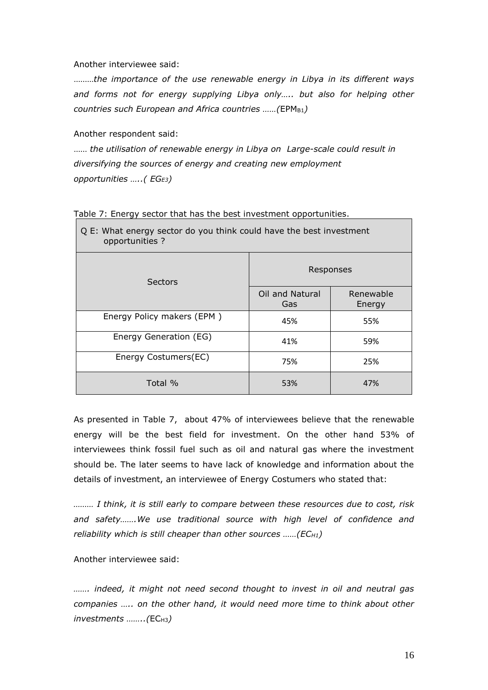Another interviewee said:

………*the importance of the use renewable energy in Libya in its different ways and forms not for energy supplying Libya only….. but also for helping other countries such European and Africa countries ……(*EPMB1*)*

Another respondent said:

…… *the utilisation of renewable energy in Libya on Large-scale could result in diversifying the sources of energy and creating new employment opportunities …..( EGE3)*

| Q E: What energy sector do you think could have the best investment<br>opportunities? |                        |                     |  |
|---------------------------------------------------------------------------------------|------------------------|---------------------|--|
| Sectors                                                                               | Responses              |                     |  |
|                                                                                       | Oil and Natural<br>Gas | Renewable<br>Energy |  |
| Energy Policy makers (EPM)                                                            | 45%                    | 55%                 |  |
| Energy Generation (EG)                                                                | 41%                    | 59%                 |  |
| Energy Costumers(EC)                                                                  | 75%                    | 25%                 |  |
| Total %                                                                               | 53%                    | 47%                 |  |

Table 7: Energy sector that has the best investment opportunities.

As presented in Table 7, about 47% of interviewees believe that the renewable energy will be the best field for investment. On the other hand 53% of interviewees think fossil fuel such as oil and natural gas where the investment should be. The later seems to have lack of knowledge and information about the details of investment, an interviewee of Energy Costumers who stated that:

*……… I think, it is still early to compare between these resources due to cost, risk and safety…….We use traditional source with high level of confidence and reliability which is still cheaper than other sources ……(ECH1)*

Another interviewee said:

*……. indeed, it might not need second thought to invest in oil and neutral gas companies ….. on the other hand, it would need more time to think about other .......<i>.*(EC<sub>H3</sub>)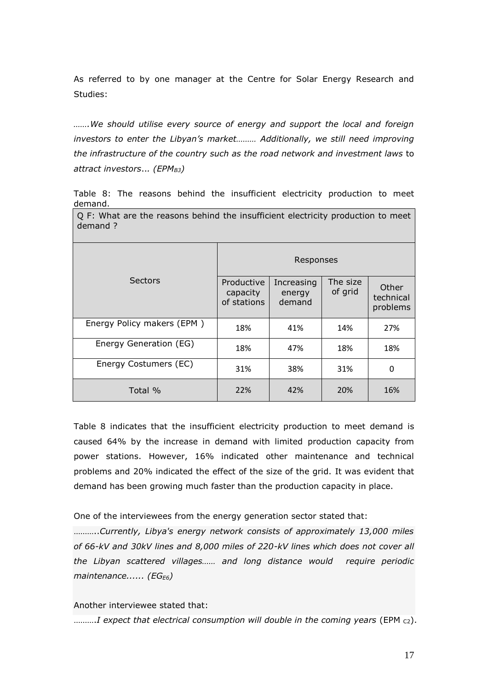As referred to by one manager at the Centre for Solar Energy Research and Studies:

*…….We should utilise every source of energy and support the local and foreign investors to enter the Libyan's market……… Additionally, we still need improving the infrastructure of the country such as the road network and investment laws* to *attract investors*..*. (EPMB3)*

Table 8: The reasons behind the insufficient electricity production to meet demand.

|                            | Responses                             |                                |                     |                                |  |
|----------------------------|---------------------------------------|--------------------------------|---------------------|--------------------------------|--|
| <b>Sectors</b>             | Productive<br>capacity<br>of stations | Increasing<br>energy<br>demand | The size<br>of grid | Other<br>technical<br>problems |  |
| Energy Policy makers (EPM) | 18%                                   | 41%                            | 14%                 | 27%                            |  |
| Energy Generation (EG)     | 18%                                   | 47%                            | 18%                 | 18%                            |  |
| Energy Costumers (EC)      | 31%                                   | 38%                            | 31%                 | 0                              |  |
| Total %                    | 22%                                   | 42%                            | 20%                 | 16%                            |  |

Q F: What are the reasons behind the insufficient electricity production to meet demand ?

Table 8 indicates that the insufficient electricity production to meet demand is caused 64% by the increase in demand with limited production capacity from power stations. However, 16% indicated other maintenance and technical problems and 20% indicated the effect of the size of the grid. It was evident that demand has been growing much faster than the production capacity in place.

One of the interviewees from the energy generation sector stated that:

………..*Currently, Libya's energy network consists of approximately 13,000 miles of 66-kV and 30kV lines and 8,000 miles of 220-kV lines which does not cover all the Libyan scattered villages…… and long distance would require periodic maintenance...... (EGE6)*

Another interviewee stated that:

……….*I expect that electrical consumption will double in the coming years* (EPM C2).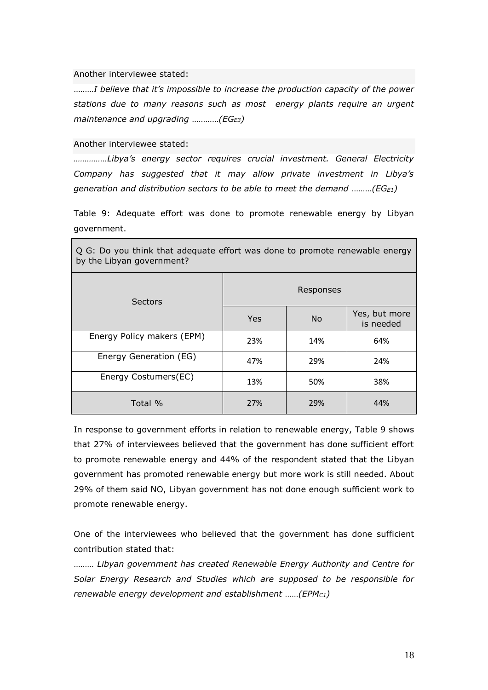Another interviewee stated:

………*I believe that it's impossible to increase the production capacity of the power stations due to many reasons such as most energy plants require an urgent maintenance and upgrading* …………*(EGE3)*

Another interviewee stated:

*……………Libya's energy sector requires crucial investment. General Electricity Company has suggested that it may allow private investment in Libya's generation and distribution sectors to be able to meet the demand* ………*(EGE1)*

Table 9: Adequate effort was done to promote renewable energy by Libyan government.

| by the Libyan government?  |           |     |                            |  |
|----------------------------|-----------|-----|----------------------------|--|
| <b>Sectors</b>             | Responses |     |                            |  |
|                            | Yes       | No. | Yes, but more<br>is needed |  |
| Energy Policy makers (EPM) | 23%       | 14% | 64%                        |  |
| Energy Generation (EG)     | 47%       | 29% | 24%                        |  |
| Energy Costumers(EC)       | 13%       | 50% | 38%                        |  |
| Total %                    | 27%       | 29% | 44%                        |  |

Q G: Do you think that adequate effort was done to promote renewable energy by the Libyan government?

In response to government efforts in relation to renewable energy, Table 9 shows that 27% of interviewees believed that the government has done sufficient effort to promote renewable energy and 44% of the respondent stated that the Libyan government has promoted renewable energy but more work is still needed. About 29% of them said NO, Libyan government has not done enough sufficient work to promote renewable energy.

One of the interviewees who believed that the government has done sufficient contribution stated that:

……… *Libyan government has created Renewable Energy Authority and Centre for Solar Energy Research and Studies which are supposed to be responsible for renewable energy development and establishment* ……*(EPMC1)*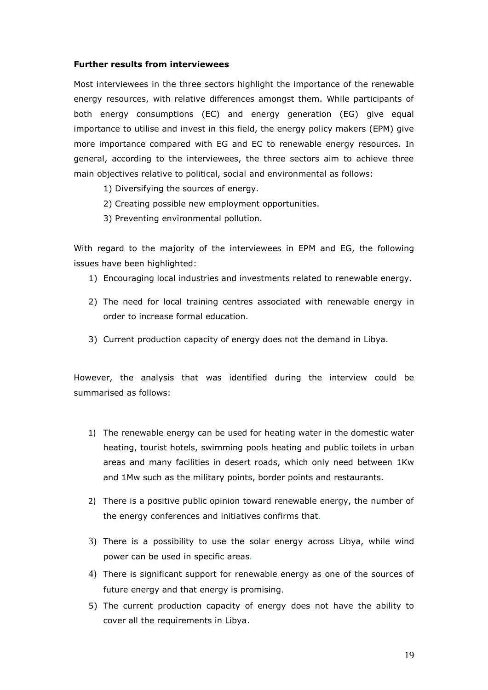#### **Further results from interviewees**

Most interviewees in the three sectors highlight the importance of the renewable energy resources, with relative differences amongst them. While participants of both energy consumptions (EC) and energy generation (EG) give equal importance to utilise and invest in this field, the energy policy makers (EPM) give more importance compared with EG and EC to renewable energy resources. In general, according to the interviewees, the three sectors aim to achieve three main objectives relative to political, social and environmental as follows:

- 1) Diversifying the sources of energy.
- 2) Creating possible new employment opportunities.
- 3) Preventing environmental pollution.

With regard to the majority of the interviewees in EPM and EG, the following issues have been highlighted:

- 1) Encouraging local industries and investments related to renewable energy.
- 2) The need for local training centres associated with renewable energy in order to increase formal education.
- 3) Current production capacity of energy does not the demand in Libya.

However, the analysis that was identified during the interview could be summarised as follows:

- 1) The renewable energy can be used for heating water in the domestic water heating, tourist hotels, swimming pools heating and public toilets in urban areas and many facilities in desert roads, which only need between 1Kw and 1Mw such as the military points, border points and restaurants.
- 2) There is a positive public opinion toward renewable energy, the number of the energy conferences and initiatives confirms that.
- 3) There is a possibility to use the solar energy across Libya, while wind power can be used in specific areas.
- 4) There is significant support for renewable energy as one of the sources of future energy and that energy is promising.
- 5) The current production capacity of energy does not have the ability to cover all the requirements in Libya.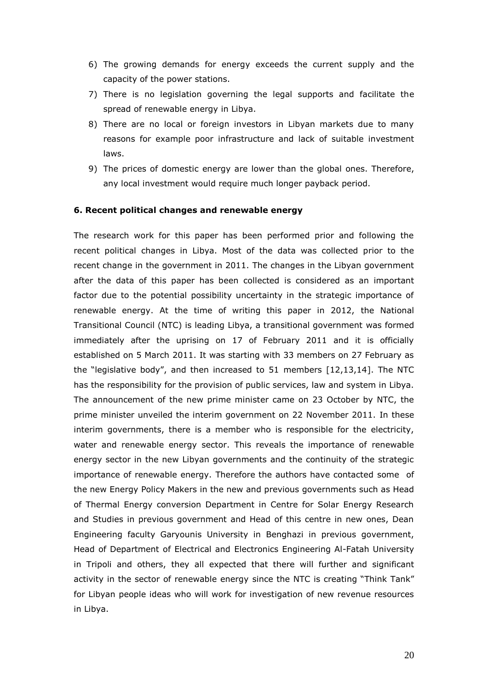- 6) The growing demands for energy exceeds the current supply and the capacity of the power stations.
- 7) There is no legislation governing the legal supports and facilitate the spread of renewable energy in Libya.
- 8) There are no local or foreign investors in Libyan markets due to many reasons for example poor infrastructure and lack of suitable investment laws.
- 9) The prices of domestic energy are lower than the global ones. Therefore, any local investment would require much longer payback period.

# **6. Recent political changes and renewable energy**

The research work for this paper has been performed prior and following the recent political changes in Libya. Most of the data was collected prior to the recent change in the government in 2011. The changes in the Libyan government after the data of this paper has been collected is considered as an important factor due to the potential possibility uncertainty in the strategic importance of renewable energy. At the time of writing this paper in 2012, the National Transitional Council (NTC) is leading Libya, a transitional government was formed immediately after the uprising on 17 of February 2011 and it is officially established on 5 March 2011. It was starting with 33 members on 27 February as the "legislative body", and then increased to 51 members [12,13,14]. The NTC has the responsibility for the provision of public services, law and system in Libya. The announcement of the new prime minister came on 23 October by NTC, the prime minister unveiled the interim government on 22 November 2011. In these interim governments, there is a member who is responsible for the electricity, water and renewable energy sector. This reveals the importance of renewable energy sector in the new Libyan governments and the continuity of the strategic importance of renewable energy. Therefore the authors have contacted some of the new Energy Policy Makers in the new and previous governments such as Head of Thermal Energy conversion Department in Centre for Solar Energy Research and Studies in previous government and Head of this centre in new ones, Dean Engineering faculty Garyounis University in Benghazi in previous government, Head of Department of Electrical and Electronics Engineering Al-Fatah University in Tripoli and others, they all expected that there will further and significant activity in the sector of renewable energy since the NTC is creating "Think Tank" for Libyan people ideas who will work for investigation of new revenue resources in Libya.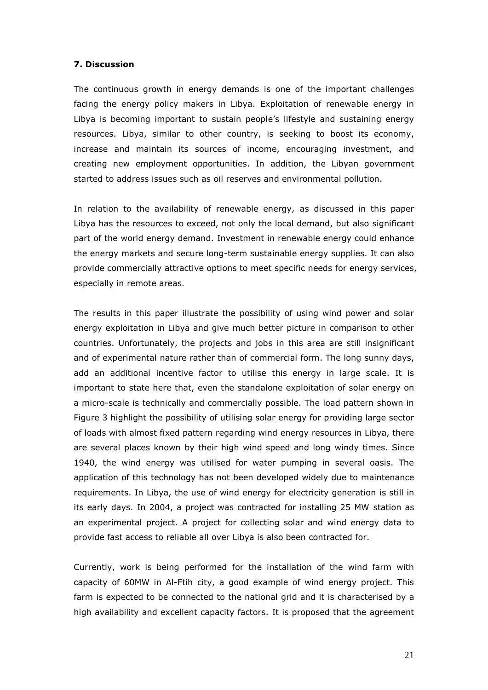#### **7. Discussion**

The continuous growth in energy demands is one of the important challenges facing the energy policy makers in Libya. Exploitation of renewable energy in Libya is becoming important to sustain people's lifestyle and sustaining energy resources. Libya, similar to other country, is seeking to boost its economy, increase and maintain its sources of income, encouraging investment, and creating new employment opportunities. In addition, the Libyan government started to address issues such as oil reserves and environmental pollution.

In relation to the availability of renewable energy, as discussed in this paper Libya has the resources to exceed, not only the local demand, but also significant part of the world energy demand. Investment in renewable energy could enhance the energy markets and secure long-term sustainable energy supplies. It can also provide commercially attractive options to meet specific needs for energy services, especially in remote areas.

The results in this paper illustrate the possibility of using wind power and solar energy exploitation in Libya and give much better picture in comparison to other countries. Unfortunately, the projects and jobs in this area are still insignificant and of experimental nature rather than of commercial form. The long sunny days, add an additional incentive factor to utilise this energy in large scale. It is important to state here that, even the standalone exploitation of solar energy on a micro-scale is technically and commercially possible. The load pattern shown in Figure 3 highlight the possibility of utilising solar energy for providing large sector of loads with almost fixed pattern regarding wind energy resources in Libya, there are several places known by their high wind speed and long windy times. Since 1940, the wind energy was utilised for water pumping in several oasis. The application of this technology has not been developed widely due to maintenance requirements. In Libya, the use of wind energy for electricity generation is still in its early days. In 2004, a project was contracted for installing 25 MW station as an experimental project. A project for collecting solar and wind energy data to provide fast access to reliable all over Libya is also been contracted for.

Currently, work is being performed for the installation of the wind farm with capacity of 60MW in Al-Ftih city, a good example of wind energy project. This farm is expected to be connected to the national grid and it is characterised by a high availability and excellent capacity factors. It is proposed that the agreement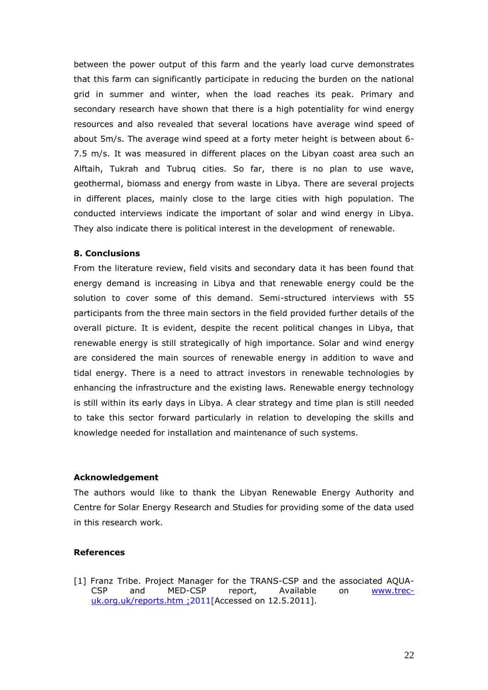between the power output of this farm and the yearly load curve demonstrates that this farm can significantly participate in reducing the burden on the national grid in summer and winter, when the load reaches its peak. Primary and secondary research have shown that there is a high potentiality for wind energy resources and also revealed that several locations have average wind speed of about 5m/s. The average wind speed at a forty meter height is between about 6- 7.5 m/s. It was measured in different places on the Libyan coast area such an Alftaih, Tukrah and Tubruq cities. So far, there is no plan to use wave, geothermal, biomass and energy from waste in Libya. There are several projects in different places, mainly close to the large cities with high population. The conducted interviews indicate the important of solar and wind energy in Libya. They also indicate there is political interest in the development of renewable.

### **8. Conclusions**

From the literature review, field visits and secondary data it has been found that energy demand is increasing in Libya and that renewable energy could be the solution to cover some of this demand. Semi-structured interviews with 55 participants from the three main sectors in the field provided further details of the overall picture. It is evident, despite the recent political changes in Libya, that renewable energy is still strategically of high importance. Solar and wind energy are considered the main sources of renewable energy in addition to wave and tidal energy. There is a need to attract investors in renewable technologies by enhancing the infrastructure and the existing laws. Renewable energy technology is still within its early days in Libya. A clear strategy and time plan is still needed to take this sector forward particularly in relation to developing the skills and knowledge needed for installation and maintenance of such systems.

### **Acknowledgement**

The authors would like to thank the Libyan Renewable Energy Authority and Centre for Solar Energy Research and Studies for providing some of the data used in this research work.

### **References**

[1] Franz Tribe. Project Manager for the TRANS-CSP and the associated AQUA-CSP and MED-CSP report, Available on [www.trec](http://www.trec-uk.org.uk/reports.htm)[uk.org.uk/reports.htm](http://www.trec-uk.org.uk/reports.htm) : 2011[Accessed on 12.5.2011].